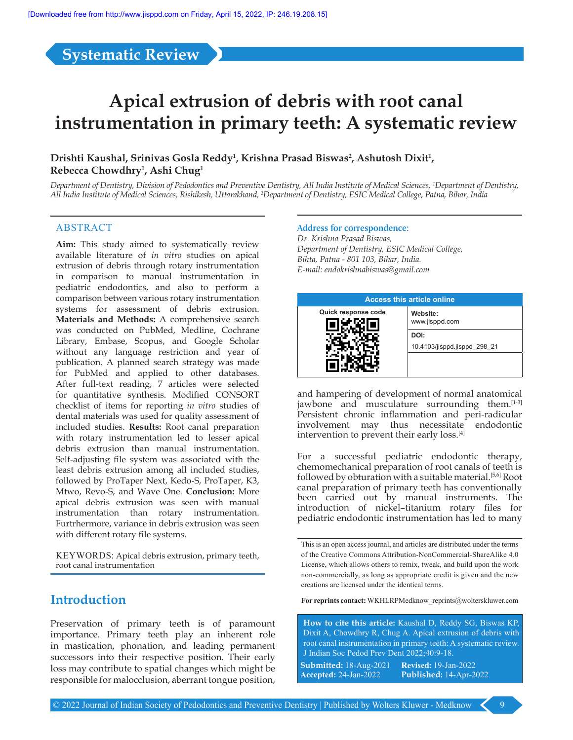**Systematic Review**

# **Apical extrusion of debris with root canal instrumentation in primary teeth: A systematic review**

### Drishti Kaushal, Srinivas Gosla Reddy<sup>1</sup>, Krishna Prasad Biswas<sup>2</sup>, Ashutosh Dixit<sup>1</sup>, **Rebecca Chowdhry<sup>1</sup> , Ashi Chug1**

*Department of Dentistry, Division of Pedodontics and Preventive Dentistry, All India Institute of Medical Sciences, 1 Department of Dentistry, All India Institute of Medical Sciences, Rishikesh, Uttarakhand, 2 Department of Dentistry, ESIC Medical College, Patna, Bihar, India*

#### ABSTRACT

**Aim:** This study aimed to systematically review available literature of *in vitro* studies on apical extrusion of debris through rotary instrumentation in comparison to manual instrumentation in pediatric endodontics, and also to perform a comparison between various rotary instrumentation systems for assessment of debris extrusion. **Materials and Methods:** A comprehensive search was conducted on PubMed, Medline, Cochrane Library, Embase, Scopus, and Google Scholar without any language restriction and year of publication. A planned search strategy was made for PubMed and applied to other databases. After full-text reading, 7 articles were selected for quantitative synthesis. Modified CONSORT checklist of items for reporting *in vitro* studies of dental materials was used for quality assessment of included studies. **Results:** Root canal preparation with rotary instrumentation led to lesser apical debris extrusion than manual instrumentation. Self-adjusting file system was associated with the least debris extrusion among all included studies, followed by ProTaper Next, Kedo‑S, ProTaper, K3, Mtwo, Revo‑S, and Wave One. **Conclusion:** More apical debris extrusion was seen with manual instrumentation than rotary instrumentation. Furtrhermore, variance in debris extrusion was seen with different rotary file systems.

KEYWORDS: Apical debris extrusion, primary teeth, root canal instrumentation

Preservation of primary teeth is of paramount importance. Primary teeth play an inherent role in mastication, phonation, and leading permanent successors into their respective position. Their early loss may contribute to spatial changes which might be responsible for malocclusion, aberrant tongue position,

#### **Address for correspondence:**

*Dr. Krishna Prasad Biswas, Department of Dentistry, ESIC Medical College, Bihta, Patna - 801 103, Bihar, India. E-mail: endokrishnabiswas@gmail.com*

|                     | <b>Access this article online</b>    |
|---------------------|--------------------------------------|
| Quick response code | Website:<br>www.jisppd.com           |
|                     | DOI:<br>10.4103/jisppd.jisppd 298 21 |
|                     |                                      |

and hampering of development of normal anatomical jawbone and musculature surrounding them.<sup>[1-3]</sup> Persistent chronic inflammation and peri-radicular involvement may thus necessitate endodontic intervention to prevent their early loss.<sup>[4]</sup>

For a successful pediatric endodontic therapy, chemomechanical preparation of root canals of teeth is followed by obturation with a suitable material.<sup>[5,6]</sup> Root canal preparation of primary teeth has conventionally been carried out by manual instruments. The introduction of nickel–titanium rotary files for pediatric endodontic instrumentation has led to many

This is an open access journal, and articles are distributed under the terms of the Creative Commons Attribution‑NonCommercial‑ShareAlike 4.0 License, which allows others to remix, tweak, and build upon the work non‑commercially, as long as appropriate credit is given and the new creations are licensed under the identical terms.

**Introduction For reprints contact:** WKHLRPMedknow\_reprints@wolterskluwer.com

**How to cite this article:** Kaushal D, Reddy SG, Biswas KP, Dixit A, Chowdhry R, Chug A. Apical extrusion of debris with root canal instrumentation in primary teeth: A systematic review. J Indian Soc Pedod Prev Dent 2022;40:9-18.

**Submitted:** 18‑Aug‑2021 **Revised:** 19‑Jan‑2022 **Accepted:** 24‑Jan‑2022 **Published:** 14-Apr-2022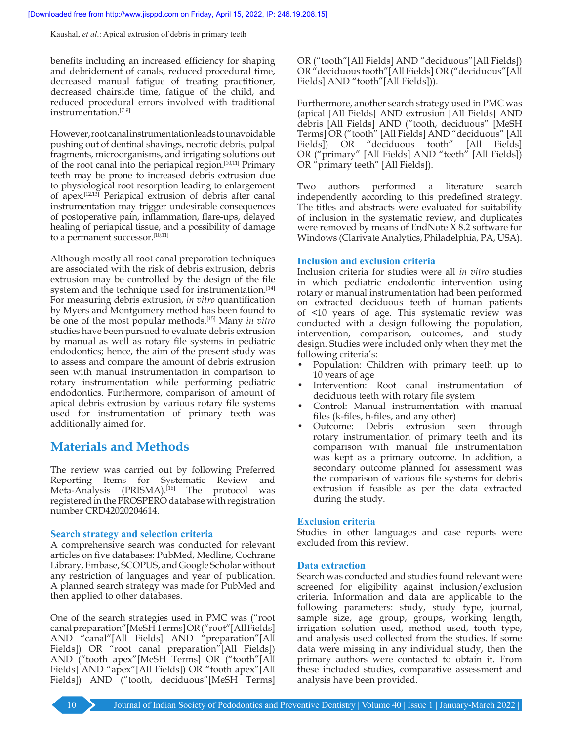benefits including an increased efficiency for shaping and debridement of canals, reduced procedural time, decreased manual fatigue of treating practitioner, decreased chairside time, fatigue of the child, and reduced procedural errors involved with traditional instrumentation.[7‑9]

However, root canal instrumentation leads to unavoidable pushing out of dentinal shavings, necrotic debris, pulpal fragments, microorganisms, and irrigating solutions out of the root canal into the periapical region.[10,11] Primary teeth may be prone to increased debris extrusion due to physiological root resorption leading to enlargement of apex.[12,13] Periapical extrusion of debris after canal instrumentation may trigger undesirable consequences of postoperative pain, inflammation, flare‑ups, delayed healing of periapical tissue, and a possibility of damage to a permanent successor.<sup>[10,11]</sup>

Although mostly all root canal preparation techniques are associated with the risk of debris extrusion, debris extrusion may be controlled by the design of the file system and the technique used for instrumentation.<sup>[14]</sup> For measuring debris extrusion, *in vitro* quantification by Myers and Montgomery method has been found to be one of the most popular methods.[15] Many *in vitro*  studies have been pursued to evaluate debris extrusion by manual as well as rotary file systems in pediatric endodontics; hence, the aim of the present study was to assess and compare the amount of debris extrusion seen with manual instrumentation in comparison to rotary instrumentation while performing pediatric endodontics. Furthermore, comparison of amount of apical debris extrusion by various rotary file systems used for instrumentation of primary teeth was additionally aimed for.

# **Materials and Methods**

The review was carried out by following Preferred Reporting Items for Systematic Review and Meta-Analysis (PRISMA).<sup>[16]</sup> The protocol was registered in the PROSPERO database with registration number CRD42020204614.

#### **Search strategy and selection criteria**

A comprehensive search was conducted for relevant articles on five databases: PubMed, Medline, Cochrane Library, Embase, SCOPUS, and Google Scholar without any restriction of languages and year of publication. A planned search strategy was made for PubMed and then applied to other databases.

One of the search strategies used in PMC was ("root canal preparation"[MeSH Terms] OR("root"[All Fields] AND "canal"[All Fields] AND "preparation"[All Fields]) OR "root canal preparation"[All Fields]) AND ("tooth apex"[MeSH Terms] OR ("tooth"[All Fields] AND "apex"[All Fields]) OR "tooth apex"[All Fields]) AND ("tooth, deciduous"[MeSH Terms]

OR ("tooth"[All Fields] AND "deciduous"[All Fields]) OR "deciduous tooth"[All Fields] OR ("deciduous"[All Fields] AND "tooth"[All Fields])).

Furthermore, another search strategy used in PMC was (apical [All Fields] AND extrusion [All Fields] AND debris [All Fields] AND ("tooth, deciduous" [MeSH Terms] OR ("tooth" [All Fields] AND "deciduous" [All Fields]) OR "deciduous tooth" [All Fields] OR ("primary" [All Fields] AND "teeth" [All Fields]) OR "primary teeth" [All Fields]).

Two authors performed a literature search independently according to this predefined strategy. The titles and abstracts were evaluated for suitability of inclusion in the systematic review, and duplicates were removed by means of EndNote X 8.2 software for Windows (Clarivate Analytics, Philadelphia, PA, USA).

#### **Inclusion and exclusion criteria**

Inclusion criteria for studies were all *in vitro* studies in which pediatric endodontic intervention using rotary or manual instrumentation had been performed on extracted deciduous teeth of human patients of <10 years of age. This systematic review was conducted with a design following the population, intervention, comparison, outcomes, and study design. Studies were included only when they met the following criteria's:

- Population: Children with primary teeth up to 10 years of age
- Intervention: Root canal instrumentation of deciduous teeth with rotary file system
- Control: Manual instrumentation with manual files (k-files, h-files, and any other)
- Outcome: Debris extrusion seen through rotary instrumentation of primary teeth and its comparison with manual file instrumentation was kept as a primary outcome. In addition, a secondary outcome planned for assessment was the comparison of various file systems for debris extrusion if feasible as per the data extracted during the study.

#### **Exclusion criteria**

Studies in other languages and case reports were excluded from this review.

#### **Data extraction**

Search was conducted and studies found relevant were screened for eligibility against inclusion/exclusion criteria. Information and data are applicable to the following parameters: study, study type, journal, sample size, age group, groups, working length, irrigation solution used, method used, tooth type, and analysis used collected from the studies. If some data were missing in any individual study, then the primary authors were contacted to obtain it. From these included studies, comparative assessment and analysis have been provided.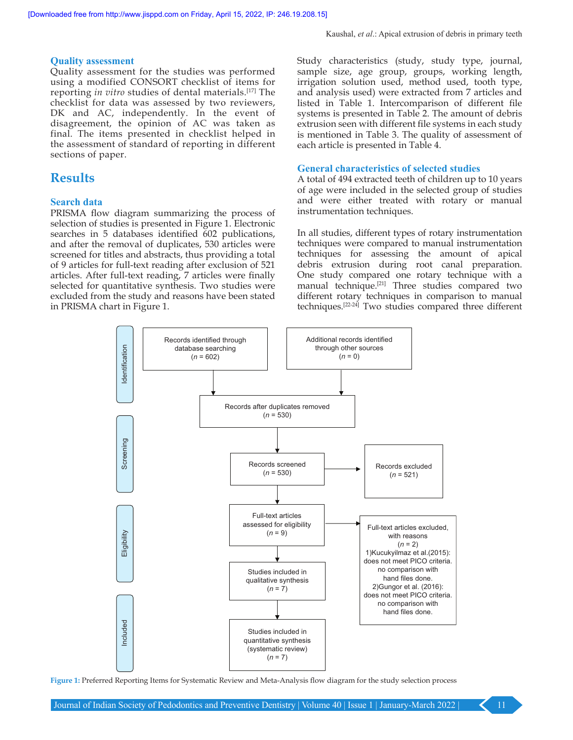#### **Quality assessment**

Quality assessment for the studies was performed using a modified CONSORT checklist of items for reporting *in vitro* studies of dental materials.[17] The checklist for data was assessed by two reviewers, DK and AC, independently. In the event of disagreement, the opinion of AC was taken as final. The items presented in checklist helped in the assessment of standard of reporting in different sections of paper.

# **Results**

#### **Search data**

PRISMA flow diagram summarizing the process of selection of studies is presented in Figure 1. Electronic searches in 5 databases identified 602 publications, and after the removal of duplicates, 530 articles were screened for titles and abstracts, thus providing a total of 9 articles for full‑text reading after exclusion of 521 articles. After full-text reading, 7 articles were finally selected for quantitative synthesis. Two studies were excluded from the study and reasons have been stated in PRISMA chart in Figure 1.

Study characteristics (study, study type, journal, sample size, age group, groups, working length, irrigation solution used, method used, tooth type, and analysis used) were extracted from 7 articles and listed in Table 1. Intercomparison of different file systems is presented in Table 2. The amount of debris extrusion seen with different file systems in each study is mentioned in Table 3. The quality of assessment of each article is presented in Table 4.

#### **General characteristics of selected studies**

A total of 494 extracted teeth of children up to 10 years of age were included in the selected group of studies and were either treated with rotary or manual instrumentation techniques.

In all studies, different types of rotary instrumentation techniques were compared to manual instrumentation techniques for assessing the amount of apical debris extrusion during root canal preparation. One study compared one rotary technique with a manual technique.[21] Three studies compared two different rotary techniques in comparison to manual techniques.[22‑24] Two studies compared three different



**Figure 1:** Preferred Reporting Items for Systematic Review and Meta-Analysis flow diagram for the study selection process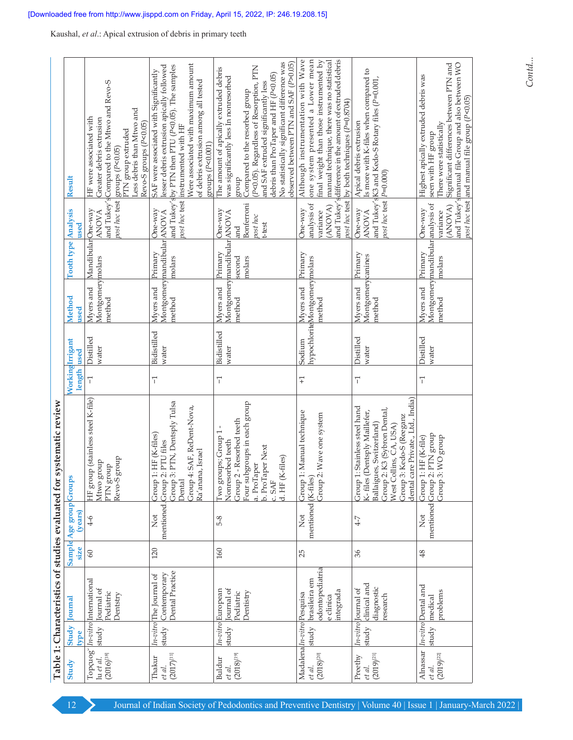|                                                                |               | Table 1: Characteristics of studies evaluated for                   |         |                                                   | systematic review                                                                                                                                                                                                                   |                                |                      |                                                         |                             |                                                    |                                                                                                                                                                                                                                                                                                                                              |
|----------------------------------------------------------------|---------------|---------------------------------------------------------------------|---------|---------------------------------------------------|-------------------------------------------------------------------------------------------------------------------------------------------------------------------------------------------------------------------------------------|--------------------------------|----------------------|---------------------------------------------------------|-----------------------------|----------------------------------------------------|----------------------------------------------------------------------------------------------------------------------------------------------------------------------------------------------------------------------------------------------------------------------------------------------------------------------------------------------|
| Study                                                          | Study<br>type | ournal                                                              | size    | Sample Age group Group<br>(years)                 |                                                                                                                                                                                                                                     | WorkingIrrigant<br>length used |                      | Method<br>used                                          | <b>Tooth type Analysis</b>  | used                                               | Result                                                                                                                                                                                                                                                                                                                                       |
| Topçuog <sup>'</sup><br>$(2016)^{[18]}$<br>lu et al.           | study         | In-vitro International<br>Journal of<br>Pediatric<br>Jentstry       | $60\,$  | $4-6$                                             | (HF group (stainless steel K-file)<br>group<br>Atwo group<br>dno.p<br>LLK<br>Revo-S                                                                                                                                                 | 7                              | Distilled<br>water   | Montgomerymolars<br>Myers and<br>method                 | MandibularOne-way           | <b>ANOVA</b>                                       | and Tukey's Compared to the Mtwo and Revo-S<br>Less debris than Mtwo and<br>HF were associated with<br>Greater debris extrusion<br>Revo-S groups (P<0.05)<br>PTN group extruded<br>post hoc test groups (P<0.05)                                                                                                                             |
| $(2017)^{[11]}$<br>Thakur<br>et al.                            | study         | Dental Practice<br>Contemporary<br>$ln\text{-}vitro$ The Journal of | 120     | mentioned. Group<br>$\stackrel{\text{d}}{\simeq}$ | 3: PTN, Dentsply Tulsa<br>4: SAF, ReDent-Nova,<br>1: HF (K-files)<br>2: PTU files<br>Ra'anana, Israel<br>Group <sup>4</sup><br>Group<br>Group<br>Dental                                                                             | 7                              | Bidistilled<br>water | Montgomerymandibular ANOVA<br>Myers and<br>method       | Primary<br>molars           | One-way                                            | Were associated with maximum amount<br>and Tukey's by PTN then PTU (P<0.05). The samples<br>lesser debris extrusion apically followed<br>SAF were associated with Significantly<br>of debris extrusion among all tested<br>post hoc test instrumented with HF<br>groups (P<0.001)                                                            |
| $(2018)^{[19]}$<br>Buldur<br>et al.                            | study         | Journal of<br>m-vitro European<br>Dentistry<br>Pediatric            | $160\,$ | 5-8                                               | Four subgroups in each group<br>Group 2 - Resorbed teeth<br>Iwo groups; Group 1<br>Jonresorbed teeth<br>b. ProTaper Next<br>d. HF (K-files)<br>a. ProTaper<br>c.SAF                                                                 | 7                              | Bidistilled<br>water | Montgomerymandibular ANOVA<br>Myers and<br>method       | Primary<br>molars<br>second | Bonferroni<br>One-way<br>post hoc<br>t-test<br>and | No statistically significant difference was<br>observed between PTN and SAF (P>0.05)<br>(P<0.05). Regardless of Resorption, PTN<br>The amount of apically extruded debris<br>debris than ProTaper and HF (P<0.05)<br>was significantly less In nonresorbed<br>and SAF extruded significantly less<br>Compared to the resorbed group<br>dnorg |
| Madalena <i>ln-vitro</i> Pesquisa<br>$(2018)^{[20]}$<br>et al. | study         | odontopediatria<br>brasileira em<br>integrada<br>e clinica          | 25      | mentioned (K-files<br>$\frac{1}{2}$               | 1: Manual technique<br>Group 2: Wave one system<br>Group <sup>7</sup>                                                                                                                                                               | $\overline{+}$                 | Sodium               | hypochlorite Montgomery molars<br>Myers and<br>method   | Primary                     | analysis of<br>(ANOVA)<br>One-way<br>variance      | one system presented a Lower mean<br>Although instrumentation with Wave<br>final weight than those instrumented by<br>and Tukey's difference in the amount of extruded debris<br>manual technique, there was no statistical<br>post hoc test by both techniques (P=0.8704)                                                                   |
| $(2019)^{[21]}$<br>Preethy<br>et al.                           | study         | clinical and<br>diagnostic<br>n-vitro ournal of<br>research         | 36      | $4-7$                                             | care Private., Ltd., India)<br>1: Stainless steel hand<br>2: K3 (Sybron Dental,<br>K-files (Dentsply Maillefer,<br>3: Kedo-S (Reeganz<br>Ballaigues, Switzerland)<br>West Collins, CA, USA)<br>Group<br>Group?<br>dental c<br>Group | 7                              | Distilled<br>water   | Montgomerycanines<br>Myers and<br>method                | Primary                     | post hoc test  P=0.000)<br>One-way<br><b>ANOVA</b> | Is more with K-files when compared to<br>and Tukey's K3 and Kedo-S Rotary files (P=0.001,<br>Apical debris extrusion                                                                                                                                                                                                                         |
| Alnassar<br>$(2019)^{[22]}$<br>et al.                          | study         | In-vitro Dental and<br>oroblems<br>medical                          | 48      | mentioned Group<br>$\overline{X}$                 | 2: PTN group<br>3: WO group<br>1: HF (K-file)<br>Group<br>Group                                                                                                                                                                     | $\overline{1}$                 | Distilled<br>water   | Montgomerymandibular analysis of<br>Myers and<br>method | Primary<br>molars           | (ANOVA)<br>One-way<br>variance                     | and Tukey's manual file Group and also between WO<br>Significant differences between PTN and<br>Highest apically extruded debris was<br>post hoc test and manual file group (P<0.05)<br>There were statistically<br>seen with HF group                                                                                                       |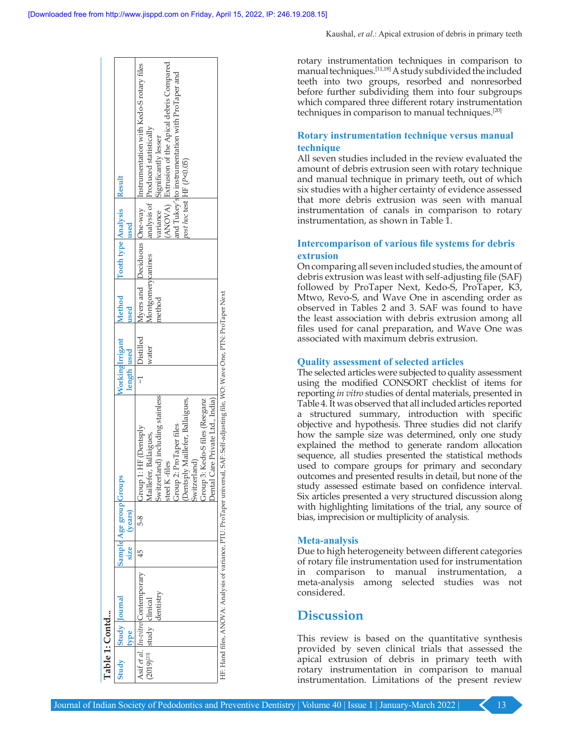| Table 1: Contd                        |                      |                                                |      |                                    |                                                                                                                                                                                                                                                          |                                |                    |                             |                            |      |                                                                                                                                                                                                                                                                               |  |
|---------------------------------------|----------------------|------------------------------------------------|------|------------------------------------|----------------------------------------------------------------------------------------------------------------------------------------------------------------------------------------------------------------------------------------------------------|--------------------------------|--------------------|-----------------------------|----------------------------|------|-------------------------------------------------------------------------------------------------------------------------------------------------------------------------------------------------------------------------------------------------------------------------------|--|
| Study                                 | <b>Study</b> Journal |                                                | size | Sample Age group Groups<br>(years) |                                                                                                                                                                                                                                                          | NorkingIrrigant<br>length used |                    | Method<br>used              | Tooth type Analysis Result | used |                                                                                                                                                                                                                                                                               |  |
| (2019) <sup>[23]</sup> study clinical |                      | Asif et al. In-vitro Contemporary<br>lentistry |      | 5-8                                | Switzerland) including stainless<br>Dental Care Private Ltd., India)<br>Dentsply Maillefer, Ballaigues,<br>Group 3: Kedo-S files (Reeganz<br>Group 2: ProTaper files<br>Group 1: HF (Dentsply<br>Aaillefer, Ballaigues,<br>Switzerland)<br>steel K-files |                                | Distilled<br>water | Montgomerycanines<br>method |                            |      | ANOVA) Extrusion of the Apical debris Compared<br>Myers and Deciduous One-way Instrumentation with Kedo-Srotary files<br>and Tukey'sto instrumentation with ProTaper and<br>analysis of Produced statistically<br>variance Significantly lesser<br>post hoc test [HF (P<0.05) |  |
|                                       |                      |                                                |      |                                    | HF: Hand files, ANOVA: Analysis of variance, PTU: ProTaper universal, SAF: Self-adjusting file, WO: Wave One, PTN: ProTaper Next                                                                                                                         |                                |                    |                             |                            |      |                                                                                                                                                                                                                                                                               |  |

rotary instrumentation techniques in comparison to manual techniques.[11,18] A study subdivided the included teeth into two groups, resorbed and nonresorbed before further subdividing them into four subgroups which compared three different rotary instrumentation techniques in comparison to manual techniques.[20]

#### **Rotary instrumentation technique versus manual technique**

All seven studies included in the review evaluated the amount of debris extrusion seen with rotary technique and manual technique in primary teeth, out of which six studies with a higher certainty of evidence assessed that more debris extrusion was seen with manual instrumentation of canals in comparison to rotary instrumentation, as shown in Table 1.

#### **Intercomparison of various file systems for debris extrusion**

On comparing all seven included studies, the amount of debris extrusion was least with self‑adjusting file (SAF) followed by ProTaper Next, Kedo‑S, ProTaper, K3, Mtwo, Revo‑S, and Wave One in ascending order as observed in Tables 2 and 3. SAF was found to have the least association with debris extrusion among all files used for canal preparation, and Wave One was associated with maximum debris extrusion.

#### **Quality assessment of selected articles**

The selected articles were subjected to quality assessment using the modified CONSORT checklist of items for reporting *in vitro* studies of dental materials, presented in Table 4. It was observed that all included articles reported a structured summary, introduction with specific objective and hypothesis. Three studies did not clarify how the sample size was determined, only one study explained the method to generate random allocation sequence, all studies presented the statistical methods used to compare groups for primary and secondary outcomes and presented results in detail, but none of the study assessed estimate based on confidence interval. Six articles presented a very structured discussion along with highlighting limitations of the trial, any source of bias, imprecision or multiplicity of analysis.

#### **Meta‑analysis**

Due to high heterogeneity between different categories of rotary file instrumentation used for instrumentation in comparison to manual instrumentation, a meta‑analysis among selected studies was not considered.

# **Discussion**

This review is based on the quantitative synthesis provided by seven clinical trials that assessed the apical extrusion of debris in primary teeth with rotary instrumentation in comparison to manual instrumentation. Limitations of the present review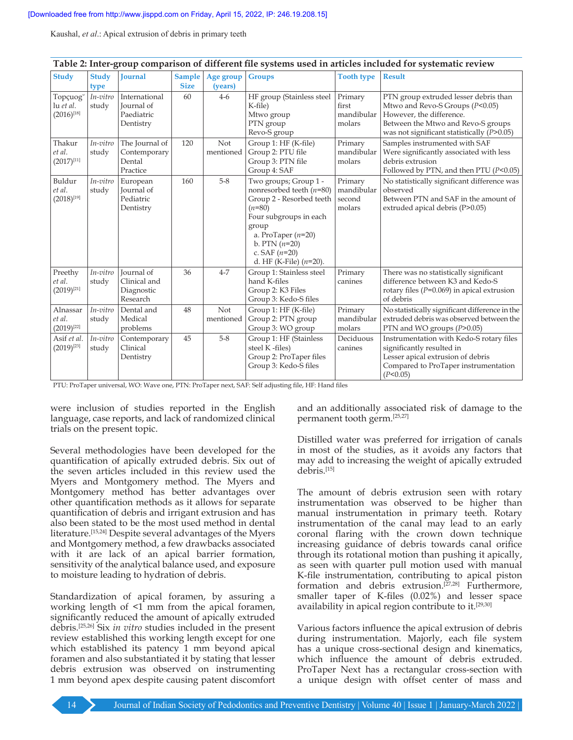|                                         |                      |                                                             |                              |                      |                                                                                                                                                                                                                           |                                           | Table 2: Inter-group comparison of different file systems used in articles included for systematic review                                                                                  |
|-----------------------------------------|----------------------|-------------------------------------------------------------|------------------------------|----------------------|---------------------------------------------------------------------------------------------------------------------------------------------------------------------------------------------------------------------------|-------------------------------------------|--------------------------------------------------------------------------------------------------------------------------------------------------------------------------------------------|
| <b>Study</b>                            | <b>Study</b><br>type | <b>Journal</b>                                              | <b>Sample</b><br><b>Size</b> | Age group<br>(years) | <b>Groups</b>                                                                                                                                                                                                             | <b>Tooth type</b>                         | <b>Result</b>                                                                                                                                                                              |
| Topçuog<br>lu et al.<br>$(2016)^{[18]}$ | In-vitro<br>study    | International<br>Journal of<br>Paediatric<br>Dentistry      | 60                           | $4-6$                | HF group (Stainless steel<br>K-file)<br>Mtwo group<br>PTN group<br>Revo-S group                                                                                                                                           | Primary<br>first<br>mandibular<br>molars  | PTN group extruded lesser debris than<br>Mtwo and Revo-S Groups (P<0.05)<br>However, the difference.<br>Between the Mtwo and Revo-S groups<br>was not significant statistically $(P>0.05)$ |
| Thakur<br>et al.<br>$(2017)^{[11]}$     | In-vitro<br>study    | The Journal of<br>Contemporary<br>Dental<br>Practice        | 120                          | Not<br>mentioned     | Group 1: HF (K-file)<br>Group 2: PTU file<br>Group 3: PTN file<br>Group 4: SAF                                                                                                                                            | Primary<br>mandibular<br>molars           | Samples instrumented with SAF<br>Were significantly associated with less<br>debris extrusion<br>Followed by PTN, and then PTU $(P<0.05)$                                                   |
| Buldur<br>et al.<br>$(2018)^{[19]}$     | In-vitro<br>study    | European<br>Journal of<br>Pediatric<br>Dentistry            | 160                          | $5 - 8$              | Two groups; Group 1 -<br>nonresorbed teeth $(n=80)$<br>Group 2 - Resorbed teeth<br>$(n=80)$<br>Four subgroups in each<br>group<br>a. ProTaper $(n=20)$<br>b. PTN $(n=20)$<br>c. SAF $(n=20)$<br>d. HF (K-File) $(n=20)$ . | Primary<br>mandibular<br>second<br>molars | No statistically significant difference was<br>observed<br>Between PTN and SAF in the amount of<br>extruded apical debris (P>0.05)                                                         |
| Preethy<br>et al.<br>$(2019)^{[21]}$    | In-vitro<br>study    | <b>Journal</b> of<br>Clinical and<br>Diagnostic<br>Research | 36                           | $4 - 7$              | Group 1: Stainless steel<br>hand K-files<br>Group 2: K3 Files<br>Group 3: Kedo-S files                                                                                                                                    | Primary<br>canines                        | There was no statistically significant<br>difference between K3 and Kedo-S<br>rotary files ( $P=0.069$ ) in apical extrusion<br>of debris                                                  |
| Alnassar<br>et al.<br>$(2019)^{[22]}$   | In-vitro<br>study    | Dental and<br>Medical<br>problems                           | 48                           | Not<br>mentioned     | Group 1: HF (K-file)<br>Group 2: PTN group<br>Group 3: WO group                                                                                                                                                           | Primary<br>mandibular<br>molars           | No statistically significant difference in the<br>extruded debris was observed between the<br>PTN and WO groups $(P>0.05)$                                                                 |
| Asif et al.<br>$(2019)^{[23]}$          | In-vitro<br>study    | Contemporary<br>Clinical<br>Dentistry                       | 45                           | $5-8$                | Group 1: HF (Stainless<br>steel K -files)<br>Group 2: ProTaper files<br>Group 3: Kedo-S files                                                                                                                             | Deciduous<br>canines                      | Instrumentation with Kedo-S rotary files<br>significantly resulted in<br>Lesser apical extrusion of debris<br>Compared to ProTaper instrumentation<br>(P<0.05)                             |

|  |  | Table 2: Inter-group comparison of different file systems used in articles included for systematic review |
|--|--|-----------------------------------------------------------------------------------------------------------|
|  |  |                                                                                                           |

PTU: ProTaper universal, WO: Wave one, PTN: ProTaper next, SAF: Self adjusting file, HF: Hand files

were inclusion of studies reported in the English language, case reports, and lack of randomized clinical trials on the present topic.

Several methodologies have been developed for the quantification of apically extruded debris. Six out of the seven articles included in this review used the Myers and Montgomery method. The Myers and Montgomery method has better advantages over other quantification methods as it allows for separate quantification of debris and irrigant extrusion and has also been stated to be the most used method in dental literature.[15,24] Despite several advantages of the Myers and Montgomery method, a few drawbacks associated with it are lack of an apical barrier formation, sensitivity of the analytical balance used, and exposure to moisture leading to hydration of debris.

Standardization of apical foramen, by assuring a working length of <1 mm from the apical foramen, significantly reduced the amount of apically extruded debris.[25,26] Six *in vitro* studies included in the present review established this working length except for one which established its patency 1 mm beyond apical foramen and also substantiated it by stating that lesser debris extrusion was observed on instrumenting 1 mm beyond apex despite causing patent discomfort

and an additionally associated risk of damage to the permanent tooth germ.[25,27]

Distilled water was preferred for irrigation of canals in most of the studies, as it avoids any factors that may add to increasing the weight of apically extruded debris.[15]

The amount of debris extrusion seen with rotary instrumentation was observed to be higher than manual instrumentation in primary teeth. Rotary instrumentation of the canal may lead to an early coronal flaring with the crown down technique increasing guidance of debris towards canal orifice through its rotational motion than pushing it apically, as seen with quarter pull motion used with manual K-file instrumentation, contributing to apical piston formation and debris extrusion.<sup>[27,28]</sup> Furthermore, smaller taper of K-files (0.02%) and lesser space availability in apical region contribute to it.<sup>[29,30]</sup>

Various factors influence the apical extrusion of debris during instrumentation. Majorly, each file system has a unique cross-sectional design and kinematics, which influence the amount of debris extruded. ProTaper Next has a rectangular cross-section with a unique design with offset center of mass and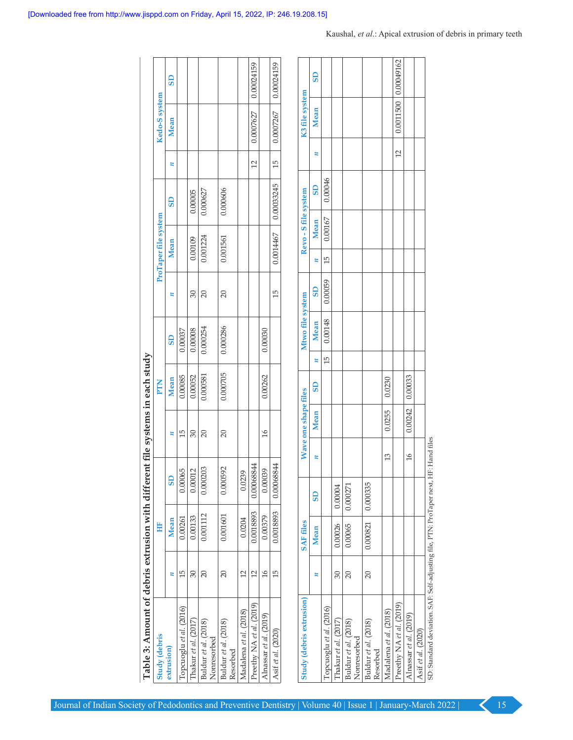| Table 3: Amount of debris extrusion with different file systems in each study |                 |            |    |                      |             |    |                  |                 |                      |                      |                 |             |                |            |
|-------------------------------------------------------------------------------|-----------------|------------|----|----------------------|-------------|----|------------------|-----------------|----------------------|----------------------|-----------------|-------------|----------------|------------|
| <b>Study (debris</b>                                                          | Ë               |            |    |                      | PTN         |    |                  |                 | ProTaper file system |                      |                 |             | Kedo-S system  |            |
| z<br>extrusion)                                                               | <b>Mean</b>     | <b>GS</b>  |    | z                    | <b>Mean</b> |    | <b>GS</b>        | z               | <b>Mean</b>          | <b>G</b>             | z               | <b>Mean</b> |                | <b>G</b>   |
| 15<br>Topcuoglu et al. (2016)                                                 | 0.00261         | 0.00065    |    | 15                   | 0.00085     |    | 0.00037          |                 |                      |                      |                 |             |                |            |
| $30\,$<br>Thakur et al. (2017)                                                | 0.00133         | 0.00012    |    | $30\,$               | 0.00052     |    | 0.00008          | $30\,$          | 0.00109              | 0.00005              |                 |             |                |            |
| $\overline{20}$<br>Buldur et al. (2018)<br>Nonresorbed                        | 0.001112        | 0.000203   |    | $20\,$               | 0.000581    |    | 0.000254         | $20\,$          | 0.001224             | 0.000627             |                 |             |                |            |
| $\overline{c}$<br>Buldur et al. (2018)<br>Resorbed                            | 0.001601        | 0.000592   |    | $\overline{20}$      | 0.000705    |    | 0.000286         | $\overline{20}$ | 0.001561             | 0.000606             |                 |             |                |            |
| $12$<br>Madalena et al. (2018)                                                | 0.0204          | 0.0239     |    |                      |             |    |                  |                 |                      |                      |                 |             |                |            |
| 12<br>Preethy NA et al. (2019)                                                | 0.0018893       | 0.00068844 |    |                      |             |    |                  |                 |                      |                      | $\Box$          | 0.0007627   |                | 0.00024159 |
| 16<br>Alnassar et al. (2019)                                                  | 0.00379         | 0.00039    |    | 16                   | 0.00262     |    | 0.00030          |                 |                      |                      |                 |             |                |            |
| 15<br>Asif et al. (2020)                                                      | 0.0018893       | 0.00068844 |    |                      |             |    |                  | 15              | 0.0014467            | 0.00033245           | $\overline{15}$ | 0.0007267   |                | 0.00024159 |
| Study (debris extrusion)                                                      | <b>SAFfiles</b> |            |    | Wave one shape files |             |    | Mtwo file system |                 |                      | Revo - S file system |                 |             | K3 file system |            |
| z                                                                             | <b>Mean</b>     | <b>GS</b>  | z  | Mean                 | <b>GS</b>   | z  | <b>Mean</b>      | G <sub>S</sub>  | <b>Mean</b><br>z     | <b>GS</b>            |                 | z           | <b>Mean</b>    | <b>G</b>   |
| Topcuoglu et al. (2016)                                                       |                 |            |    |                      |             | 15 | 0.00148          | 0.00059         | $0.00167\,$<br>15    | 0.00046              |                 |             |                |            |
| 30<br>Thakur et al. (2017)                                                    | 0.00026         | 0.00004    |    |                      |             |    |                  |                 |                      |                      |                 |             |                |            |
| $\overline{20}$<br>Buldur et al. (2018)<br>Nonresorbed                        | 0.00065         | 0.000271   |    |                      |             |    |                  |                 |                      |                      |                 |             |                |            |
| $20\,$<br>Buldur et al. (2018)<br>Resorbed                                    | 0.000821        | 0.000335   |    |                      |             |    |                  |                 |                      |                      |                 |             |                |            |
| Madalena et al. (2018)                                                        |                 |            | 13 | 0.0255               | 0.0230      |    |                  |                 |                      |                      |                 |             |                |            |
| Preethy NA et al. (2019)                                                      |                 |            |    |                      |             |    |                  |                 |                      |                      |                 | 12          | 0.0011500      | 0.00049162 |
| Alnassar et al. (2019)                                                        |                 |            | 16 | 0.00242              | 0.00033     |    |                  |                 |                      |                      |                 |             |                |            |
| Asif et al. (2020)                                                            |                 |            |    |                      |             |    |                  |                 |                      |                      |                 |             |                |            |

| Study (debris extrusion)                                              |                 | <b>SAFfiles</b> |          |                | Wave one shape files |                        |                 | Mtwo file system |                         |    | Revo-Sfile system |                        |                 | K3 file system       |                       |
|-----------------------------------------------------------------------|-----------------|-----------------|----------|----------------|----------------------|------------------------|-----------------|------------------|-------------------------|----|-------------------|------------------------|-----------------|----------------------|-----------------------|
|                                                                       |                 | <b>Mean</b>     | SD       |                | Mean                 | $\overline{\text{3D}}$ | $\mathbf{u}$    | Mean             | $\overline{\mathbf{d}}$ |    | Mean              | $\overline{\text{3D}}$ |                 | <b>Mean</b>          | $\overline{\text{3}}$ |
| Topcuoglu et al. (2016)                                               |                 |                 |          |                |                      |                        | $\overline{15}$ | 0.00148          | 0.00059                 | 15 | 0.00167           | 0.00046                |                 |                      |                       |
| Thakur et al. (2017)                                                  | 30              | 0.00026         | 0.00004  |                |                      |                        |                 |                  |                         |    |                   |                        |                 |                      |                       |
| Buldur et al. (2018)<br>Nonresorbed                                   | $\overline{20}$ | 0.00065         | 0.000271 |                |                      |                        |                 |                  |                         |    |                   |                        |                 |                      |                       |
| Buldur et al. (2018)<br>Resorbed                                      | $\approx$       | 0.000821        | 0.000335 |                |                      |                        |                 |                  |                         |    |                   |                        |                 |                      |                       |
| Madalena <i>et al</i> . (2018)                                        |                 |                 |          | 13             | 0.0255               | 0.0230                 |                 |                  |                         |    |                   |                        |                 |                      |                       |
| Preethy NA et al. (2019)                                              |                 |                 |          |                |                      |                        |                 |                  |                         |    |                   |                        | $\overline{12}$ | 0.0011500 0.00049162 |                       |
| Alnassar <i>et al.</i> (2019)                                         |                 |                 |          | $\frac{1}{6}$  | $0.00242$ 0.00033    |                        |                 |                  |                         |    |                   |                        |                 |                      |                       |
| Asif et al. (2020)                                                    |                 |                 |          |                |                      |                        |                 |                  |                         |    |                   |                        |                 |                      |                       |
| 5D: Standard deviation, SAF: Self-adjusting file, PTN: ProTaper next. |                 |                 |          | HF: Hand files |                      |                        |                 |                  |                         |    |                   |                        |                 |                      |                       |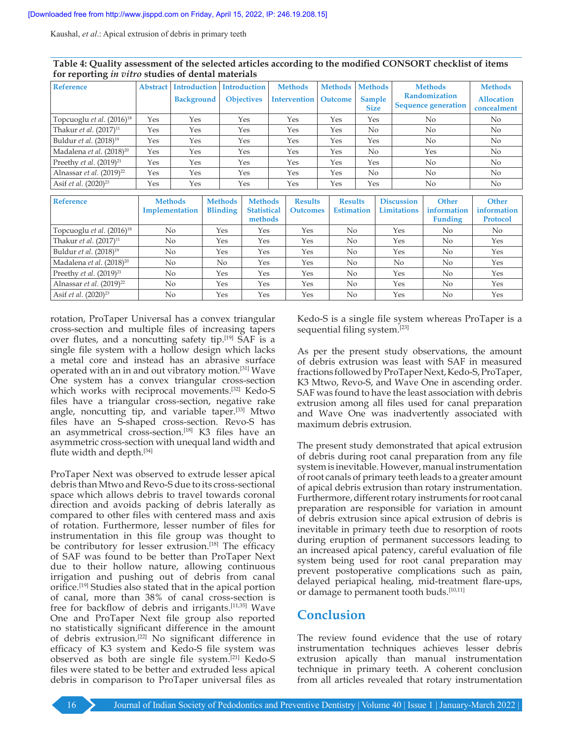| <b>Reference</b>                      | <b>Abstract</b> | <b>Introduction</b> | <b>Introduction</b> | <b>Methods</b>      | <b>Methods</b> | <b>Methods</b>        | <b>Methods</b>                                     | <b>Methods</b>                   |
|---------------------------------------|-----------------|---------------------|---------------------|---------------------|----------------|-----------------------|----------------------------------------------------|----------------------------------|
|                                       |                 | <b>Background</b>   | <b>Objectives</b>   | <b>Intervention</b> | Outcome        | Sample<br><b>Size</b> | <b>Randomization</b><br><b>Sequence generation</b> | <b>Allocation</b><br>concealment |
| Topcuoglu et al. (2016) <sup>18</sup> | Yes             | Yes                 | Yes                 | Yes                 | Yes            | Yes                   | No.                                                | N <sub>o</sub>                   |
| Thakur et al. (2017) <sup>11</sup>    | Yes             | Yes                 | Yes                 | Yes                 | Yes            | No.                   | No                                                 | No                               |
| Buldur et al. (2018) <sup>19</sup>    | Yes             | Yes                 | Yes                 | Yes                 | Yes            | Yes                   | No.                                                | No                               |
| Madalena et al. (2018) <sup>20</sup>  | Yes             | Yes                 | Yes                 | Yes                 | Yes            | N <sub>o</sub>        | Yes                                                | No                               |
| Preethy <i>et al.</i> $(2019)^{21}$   | Yes             | Yes                 | Yes                 | Yes                 | Yes            | Yes                   | No                                                 | No                               |
| Alnassar et al. (2019) <sup>22</sup>  | Yes             | Yes                 | Yes                 | Yes                 | Yes            | N <sub>o</sub>        | No.                                                | No                               |
| Asif et al. (2020) <sup>23</sup>      | Yes             | Yes                 | Yes                 | Yes                 | Yes            | Yes                   | No                                                 | No                               |

| Table 4: Quality assessment of the selected articles according to the modified CONSORT checklist of items |  |
|-----------------------------------------------------------------------------------------------------------|--|
| for reporting <i>in vitro</i> studies of dental materials                                                 |  |

| <b>Reference</b>                     | <b>Methods</b><br>Implementation | <b>Methods</b><br><b>Blinding</b> | <b>Methods</b><br><b>Statistical</b><br>methods | <b>Results</b><br><b>Outcomes</b> | <b>Results</b><br><b>Estimation</b> | <b>Discussion</b><br><b>Limitations</b> | <b>Other</b><br>information<br><b>Funding</b> | <b>Other</b><br>information<br><b>Protocol</b> |
|--------------------------------------|----------------------------------|-----------------------------------|-------------------------------------------------|-----------------------------------|-------------------------------------|-----------------------------------------|-----------------------------------------------|------------------------------------------------|
| Topcuoglu et al. $(2016)^{18}$       | No                               | Yes                               | Yes                                             | Yes                               | N <sub>o</sub>                      | Yes                                     | N <sub>o</sub>                                | N <sub>o</sub>                                 |
| Thakur et al. (2017) <sup>11</sup>   | No                               | Yes                               | Yes                                             | Yes                               | No                                  | Yes                                     | N <sub>o</sub>                                | Yes                                            |
| Buldur et al. (2018) <sup>19</sup>   | No                               | Yes                               | Yes                                             | Yes                               | No                                  | Yes                                     | N <sub>o</sub>                                | Yes                                            |
| Madalena et al. (2018) <sup>20</sup> | No                               | No                                | Yes                                             | Yes                               | No                                  | N <sub>o</sub>                          | N <sub>0</sub>                                | Yes                                            |
| Preethy <i>et al.</i> $(2019)^{21}$  | No                               | Yes                               | Yes                                             | Yes                               | N <sub>o</sub>                      | Yes                                     | No                                            | Yes                                            |
| Alnassar et al. $(2019)^{22}$        | No                               | Yes                               | Yes                                             | Yes                               | N <sub>o</sub>                      | Yes                                     | N <sub>0</sub>                                | Yes                                            |
| Asif <i>et al.</i> $(2020)^{23}$     | No                               | Yes                               | Yes                                             | Yes                               | N <sub>o</sub>                      | Yes                                     | No                                            | Yes                                            |

rotation, ProTaper Universal has a convex triangular cross‑section and multiple files of increasing tapers over flutes, and a noncutting safety tip.[19] SAF is a single file system with a hollow design which lacks a metal core and instead has an abrasive surface operated with an in and out vibratory motion.[31] Wave One system has a convex triangular cross-section which works with reciprocal movements.<sup>[32]</sup> Kedo-S files have a triangular cross‑section, negative rake angle, noncutting tip, and variable taper.[33] Mtwo files have an S‑shaped cross‑section. Revo‑S has an asymmetrical cross-section.<sup>[18]</sup> K3 files have an asymmetric cross‑section with unequal land width and flute width and depth.[34]

ProTaper Next was observed to extrude lesser apical debris than Mtwo and Revo‑S due to its cross‑sectional space which allows debris to travel towards coronal direction and avoids packing of debris laterally as compared to other files with centered mass and axis of rotation. Furthermore, lesser number of files for instrumentation in this file group was thought to be contributory for lesser extrusion.<sup>[18]</sup> The efficacy of SAF was found to be better than ProTaper Next due to their hollow nature, allowing continuous irrigation and pushing out of debris from canal orifice.[19] Studies also stated that in the apical portion of canal, more than 38% of canal cross‑section is free for backflow of debris and irrigants.[11,35] Wave One and ProTaper Next file group also reported no statistically significant difference in the amount of debris extrusion.[22] No significant difference in efficacy of K3 system and Kedo‑S file system was observed as both are single file system.[21] Kedo‑S files were stated to be better and extruded less apical debris in comparison to ProTaper universal files as

Kedo-S is a single file system whereas ProTaper is a sequential filing system.[23]

As per the present study observations, the amount of debris extrusion was least with SAF in measured fractions followed by ProTaper Next, Kedo‑S, ProTaper, K3 Mtwo, Revo-S, and Wave One in ascending order. SAF was found to have the least association with debris extrusion among all files used for canal preparation and Wave One was inadvertently associated with maximum debris extrusion.

The present study demonstrated that apical extrusion of debris during root canal preparation from any file system is inevitable. However, manual instrumentation of root canals of primary teeth leads to a greater amount of apical debris extrusion than rotary instrumentation. Furthermore, different rotary instruments for root canal preparation are responsible for variation in amount of debris extrusion since apical extrusion of debris is inevitable in primary teeth due to resorption of roots during eruption of permanent successors leading to an increased apical patency, careful evaluation of file system being used for root canal preparation may prevent postoperative complications such as pain, delayed periapical healing, mid‑treatment flare‑ups, or damage to permanent tooth buds.[10,11]

# **Conclusion**

The review found evidence that the use of rotary instrumentation techniques achieves lesser debris extrusion apically than manual instrumentation technique in primary teeth. A coherent conclusion from all articles revealed that rotary instrumentation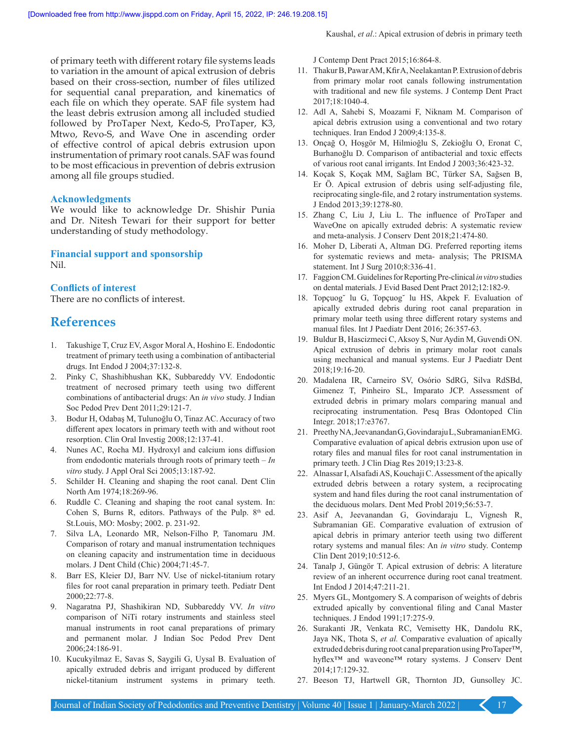of primary teeth with different rotary file systems leads to variation in the amount of apical extrusion of debris based on their cross‑section, number of files utilized for sequential canal preparation, and kinematics of each file on which they operate. SAF file system had the least debris extrusion among all included studied followed by ProTaper Next, Kedo‑S, ProTaper, K3, Mtwo, Revo-S, and Wave One in ascending order of effective control of apical debris extrusion upon instrumentation of primary root canals. SAF was found to be most efficacious in prevention of debris extrusion among all file groups studied.

#### **Acknowledgments**

We would like to acknowledge Dr. Shishir Punia and Dr. Nitesh Tewari for their support for better understanding of study methodology.

**Financial support and sponsorship** Nil.

#### **Conflicts of interest**

There are no conflicts of interest.

## **References**

- 1. Takushige T, Cruz EV, Asgor Moral A, Hoshino E. Endodontic treatment of primary teeth using a combination of antibacterial drugs. Int Endod J 2004;37:132‑8.
- 2. Pinky C, Shashibhushan KK, Subbareddy VV. Endodontic treatment of necrosed primary teeth using two different combinations of antibacterial drugs: An *in vivo* study. J Indian Soc Pedod Prev Dent 2011;29:121-7.
- 3. Bodur H, Odabaş M, Tulunoğlu O, Tinaz AC. Accuracy of two different apex locators in primary teeth with and without root resorption. Clin Oral Investig 2008;12:137‑41.
- 4. Nunes AC, Rocha MJ. Hydroxyl and calcium ions diffusion from endodontic materials through roots of primary teeth – *In vitro* study. J Appl Oral Sci 2005;13:187‑92.
- 5. Schilder H. Cleaning and shaping the root canal. Dent Clin North Am 1974;18:269-96.
- 6. Ruddle C. Cleaning and shaping the root canal system. In: Cohen S, Burns R, editors. Pathways of the Pulp. 8th ed. St.Louis, MO: Mosby; 2002. p. 231‑92.
- 7. Silva LA, Leonardo MR, Nelson‑Filho P, Tanomaru JM. Comparison of rotary and manual instrumentation techniques on cleaning capacity and instrumentation time in deciduous molars. J Dent Child (Chic) 2004;71:45‑7.
- 8. Barr ES, Kleier DJ, Barr NV. Use of nickel-titanium rotary files for root canal preparation in primary teeth. Pediatr Dent 2000;22:77‑8.
- 9. Nagaratna PJ, Shashikiran ND, Subbareddy VV. *In vitro*  comparison of NiTi rotary instruments and stainless steel manual instruments in root canal preparations of primary and permanent molar. J Indian Soc Pedod Prev Dent 2006;24:186‑91.
- 10. Kucukyilmaz E, Savas S, Saygili G, Uysal B. Evaluation of apically extruded debris and irrigant produced by different nickel-titanium instrument systems in primary teeth.

J Contemp Dent Pract 2015;16:864‑8.

- 11. Thakur B, Pawar AM, Kfir A, Neelakantan P. Extrusion of debris from primary molar root canals following instrumentation with traditional and new file systems. J Contemp Dent Pract 2017;18:1040‑4.
- 12. Adl A, Sahebi S, Moazami F, Niknam M. Comparison of apical debris extrusion using a conventional and two rotary techniques. Iran Endod J 2009;4:135‑8.
- 13. Onçağ O, Hoşgör M, Hilmioğlu S, Zekioğlu O, Eronat C, Burhanoğlu D. Comparison of antibacterial and toxic effects of various root canal irrigants. Int Endod J 2003;36:423‑32.
- 14. Koçak S, Koçak MM, Sağlam BC, Türker SA, Sağsen B, Er Ö. Apical extrusion of debris using self-adjusting file, reciprocating single-file, and 2 rotary instrumentation systems. J Endod 2013;39:1278‑80.
- 15. Zhang C, Liu J, Liu L. The influence of ProTaper and WaveOne on apically extruded debris: A systematic review and meta‑analysis. J Conserv Dent 2018;21:474‑80.
- 16. Moher D, Liberati A, Altman DG. Preferred reporting items for systematic reviews and meta‑ analysis; The PRISMA statement. Int J Surg 2010;8:336-41.
- 17. FaggionCM. Guidelines for Reporting Pre‑clinical *invitro* studies on dental materials. J Evid Based Dent Pract 2012;12:182‑9.
- 18. Topçuog˘ lu G, Topçuog˘ lu HS, Akpek F. Evaluation of apically extruded debris during root canal preparation in primary molar teeth using three different rotary systems and manual files. Int J Paediatr Dent 2016; 26:357‑63.
- 19. Buldur B, Hascizmeci C, Aksoy S, Nur Aydin M, Guvendi ON. Apical extrusion of debris in primary molar root canals using mechanical and manual systems. Eur J Paediatr Dent 2018;19:16‑20.
- 20. Madalena IR, Carneiro SV, Osório SdRG, Silva RdSBd, Gimenez T, Pinheiro SL, Imparato JCP. Assessment of extruded debris in primary molars comparing manual and reciprocating instrumentation. Pesq Bras Odontoped Clin Integr. 2018;17:e3767.
- 21. PreethyNA, JeevanandanG, GovindarajuL, Subramanian EMG. Comparative evaluation of apical debris extrusion upon use of rotary files and manual files for root canal instrumentation in primary teeth. J Clin Diag Res 2019;13:23-8.
- 22. Alnassar I, Alsafadi AS, Kouchaji C. Assessment of the apically extruded debris between a rotary system, a reciprocating system and hand files during the root canal instrumentation of the deciduous molars. Dent Med Probl 2019;56:53‑7.
- 23. Asif A, Jeevanandan G, Govindaraju L, Vignesh R, Subramanian GE. Comparative evaluation of extrusion of apical debris in primary anterior teeth using two different rotary systems and manual files: An *in vitro* study. Contemp Clin Dent 2019;10:512‑6.
- 24. Tanalp J, Güngör T. Apical extrusion of debris: A literature review of an inherent occurrence during root canal treatment. Int Endod J 2014;47:211‑21.
- 25. Myers GL, Montgomery S. A comparison of weights of debris extruded apically by conventional filing and Canal Master techniques. J Endod 1991;17:275‑9.
- 26. Surakanti JR, Venkata RC, Vemisetty HK, Dandolu RK, Jaya NK, Thota S, *et al.* Comparative evaluation of apically extruded debris during root canal preparation using ProTaper™, hyflex<sup>™</sup> and waveone<sup>™</sup> rotary systems. J Conserv Dent 2014;17:129‑32.
- 27. Beeson TJ, Hartwell GR, Thornton JD, Gunsolley JC.